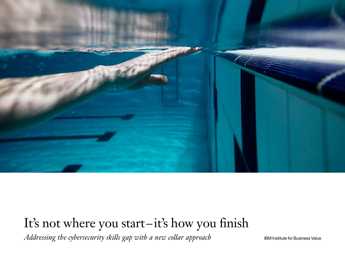

# It's not where you start–it's how you finish

*Addressing the cybersecurity skills gap with a new collar approach* IBM Institute for Business Value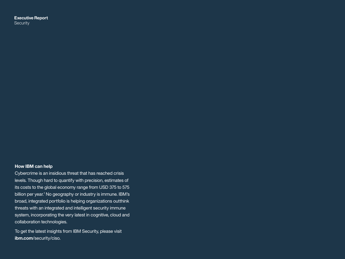**Executive Report Security** 

### **How IBM can help**

Cybercrime is an insidious threat that has reached crisis levels. Though hard to quantify with precision, estimates of its costs to the global economy range from USD 375 to 575 billion per year.<sup>1</sup> No geography or industry is immune. IBM's broad, integrated portfolio is helping organizations outthink threats with an integrated and intelligent security immune system, incorporating the very latest in cognitive, cloud and collaboration technologies.

To get the latest insights from IBM Security, please visit **ibm.com**[/security/ciso.](http://ibm.com/security/ciso)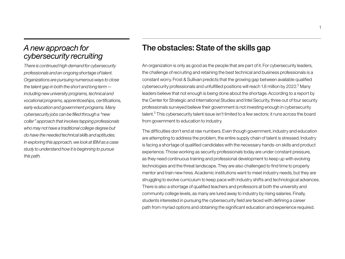# *A new approach for cybersecurity recruiting*

*There is continued high demand for cybersecurity professionals and an ongoing shortage of talent. Organizations are pursuing numerous ways to close the talent gap in both the short and long term including new university programs, technical and vocational programs, apprenticeships, certifications, early education and government programs. Many cybersecurity jobs can be filled through a "new collar" approach that involves tapping professionals who may not have a traditional college degree but do have the needed technical skills and aptitudes. In exploring this approach, we look at IBM as a case study to understand how it is beginning to pursue this path.*

# The obstacles: State of the skills gap

An organization is only as good as the people that are part of it. For cybersecurity leaders, the challenge of recruiting and retaining the best technical and business professionals is a constant worry. Frost & Sullivan predicts that the growing gap between available qualified cybersecurity professionals and unfulfilled positions will reach 1.8 million by 2022. $^2$  Many leaders believe that not enough is being done about the shortage. According to a report by the Center for Strategic and International Studies and Intel Security, three out of four security professionals surveyed believe their government is not investing enough in cybersecurity talent.<sup>3</sup> This cybersecurity talent issue isn't limited to a few sectors; it runs across the board from government to education to industry.

The difficulties don't end at raw numbers. Even though government, industry and education are attempting to address the problem, the entire supply chain of talent is stressed. Industry is facing a shortage of qualified candidates with the necessary hands-on skills and product experience. Those working as security professionals today are under constant pressure, as they need continuous training and professional development to keep up with evolving technologies and the threat landscape. They are also challenged to find time to properly mentor and train new hires. Academic institutions want to meet industry needs, but they are struggling to evolve curriculum to keep pace with industry shifts and technological advances. There is also a shortage of qualified teachers and professors at both the university and community college levels, as many are lured away to industry by rising salaries. Finally, students interested in pursuing the cybersecurity field are faced with defining a career path from myriad options and obtaining the significant education and experience required.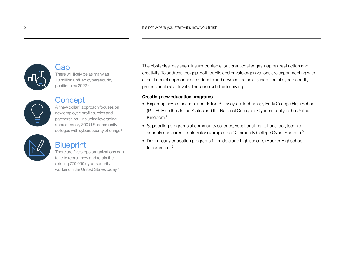

# Gap There will likely be as many as 1.8 million unfilled cybersecurity positions by 2022.4



# **Concept**

A "new collar" approach focuses on new employee profiles, roles and partnerships – including leveraging approximately 300 U.S. community colleges with cybersecurity offerings.<sup>5</sup>

# **Blueprint**

There are five steps organizations can take to recruit new and retain the existing 770,000 cybersecurity workers in the United States today.6

The obstacles may seem insurmountable, but great challenges inspire great action and creativity. To address the gap, both public and private organizations are experimenting with a multitude of approaches to educate and develop the next generation of cybersecurity professionals at all levels. These include the following:

# **Creating new education programs**

- Exploring new education models like Pathways in Technology Early College High School (P-TECH) in the United States and the National College of Cybersecurity in the United Kingdom.7
- Supporting programs at community colleges, vocational institutions, polytechnic schools and career centers (for example, the Community College Cyber Summit).<sup>8</sup>
- Driving early education programs for middle and high schools (Hacker Highschool, for example).<sup>9</sup>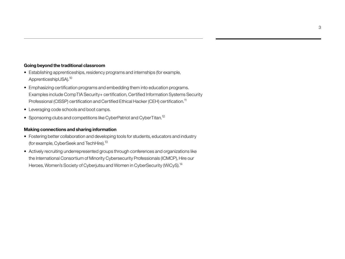# **Going beyond the traditional classroom**

- Establishing apprenticeships, residency programs and internships (for example, ApprenticeshipUSA).10
- Emphasizing certification programs and embedding them into education programs. Examples include CompTIA Security+ certification, Certified Information Systems Security Professional (CISSP) certification and Certified Ethical Hacker (CEH) certification.<sup>11</sup>
- Leveraging code schools and boot camps.
- Sponsoring clubs and competitions like CyberPatriot and CyberTitan.<sup>12</sup>

## **Making connections and sharing information**

- Fostering better collaboration and developing tools for students, educators and industry (for example, CyberSeek and TechHire).13
- Actively recruiting underrepresented groups through conferences and organizations like the International Consortium of Minority Cybersecurity Professionals (ICMCP), Hire our Heroes, Women's Society of Cyberjutsu and Women in CyberSecurity (WiCyS).<sup>14</sup>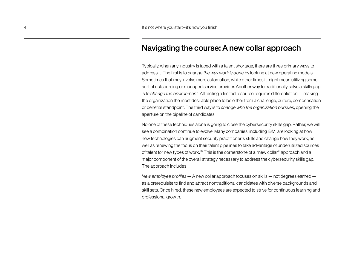# Navigating the course: A new collar approach

Typically, when any industry is faced with a talent shortage, there are three primary ways to address it. The first is to *change the way work is done* by looking at new operating models. Sometimes that may involve more automation, while other times it might mean utilizing some sort of outsourcing or managed service provider. Another way to traditionally solve a skills gap is to *change the environment.* Attracting a limited resource requires differentiation— making the organization the most desirable place to be either from a challenge, culture, compensation or benefits standpoint. The third way is to *change who the organization pursues*, opening the aperture on the pipeline of candidates.

No one of these techniques alone is going to close the cybersecurity skills gap. Rather, we will see a combination continue to evolve. Many companies, including IBM, are looking at how new technologies can augment security practitioner's skills and change how they work, as well as renewing the focus on their talent pipelines to take advantage of underutilized sources of talent for new types of work.<sup>15</sup> This is the cornerstone of a "new collar" approach and a major component of the overall strategy necessary to address the cybersecurity skills gap. The approach includes:

*New employee profiles*— A new collar approach focuses on skills— not degrees earned as a prerequisite to find and attract nontraditional candidates with diverse backgrounds and skill sets. Once hired, these new employees are expected to strive for continuous learning and professional growth.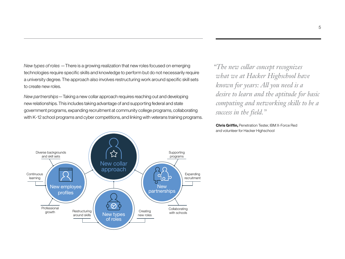*New types of roles* —There is a growing realization that new roles focused on emerging technologies require specific skills and knowledge to perform but do not necessarily require a university degree. The approach also involves restructuring work around specific skill sets to create new roles.

*New partnerships*—Taking a new collar approach requires reaching out and developing new relationships. This includes taking advantage of and supporting federal and state government programs, expanding recruitment at community college programs, collaborating with K-12 school programs and cyber competitions, and linking with veterans training programs.

☆ Diverse backgrounds Supporting and skill sets programs New collar approach **Continuous Expanding** learning recruitment New employee New partnerships profiles Professional **Collaborating** Restructuring **Restructuring Restructuring Restructuring Restructuring Restructuring Restructuring Restructuring Creating** growth New types around skills new roles of roles

*"The new collar concept recognizes what we at Hacker Highschool have known for years: All you need is a desire to learn and the aptitude for basic computing and networking skills to be a success in the field."*

**Chris Griffin,** Penetration Tester, IBM X-Force Red and volunteer for Hacker Highschool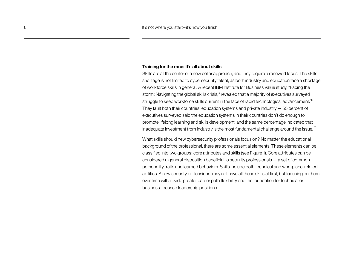#### **Training for the race: It's all about skills**

Skills are at the center of a new collar approach, and they require a renewed focus. The skills shortage is not limited to cybersecurity talent, as both industry and education face a shortage of workforce skills in general. A recent IBM Institute for Business Value study, "Facing the storm: Navigating the global skills crisis," revealed that a majority of executives surveyed struggle to keep workforce skills current in the face of rapid technological advancement.<sup>16</sup> They fault both their countries' education systems and private industry— 55 percent of executives surveyed said the education systems in their countries don't do enough to promote lifelong learning and skills development, and the same percentage indicated that inadequate investment from industry is the most fundamental challenge around the issue.<sup>17</sup>

What skills should new cybersecurity professionals focus on? No matter the educational background of the professional, there are some essential elements. These elements can be classified into two groups: core attributes and skills (see Figure 1). Core attributes can be considered a general disposition beneficial to security professionals— a set of common personality traits and learned behaviors. Skills include both technical and workplace-related abilities. A new security professional may not have all these skills at first, but focusing on them over time will provide greater career path flexibility and the foundation for technical or business-focused leadership positions.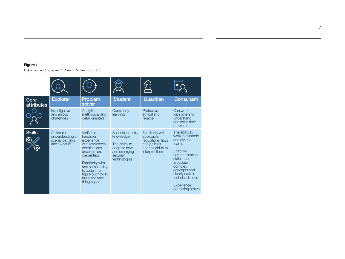# **Figure 1**

*Cybersecurity professionals: Core attributes and skills*

| Core<br>attributes | <b>Explorer</b>                                                     | <b>Problem</b><br>solver                                                                                                                                                                                                  | <b>Student</b>                                                                                               | Guardian                                                                                                     | <b>Consultant</b>                                                                                                                                                                                                              |
|--------------------|---------------------------------------------------------------------|---------------------------------------------------------------------------------------------------------------------------------------------------------------------------------------------------------------------------|--------------------------------------------------------------------------------------------------------------|--------------------------------------------------------------------------------------------------------------|--------------------------------------------------------------------------------------------------------------------------------------------------------------------------------------------------------------------------------|
|                    | Investigative<br>and enjoys<br>challenges                           | Analytic,<br>methodical and<br>detail oriented                                                                                                                                                                            | Constantly<br>learning                                                                                       | Protective,<br>ethical and<br>reliable                                                                       | Can work<br>with others to<br>understand<br>and solve their<br>problems                                                                                                                                                        |
| <b>Skills</b>      | An innate<br>understanding of<br>scenarios, risks<br>and "what ifs" | Verifiable<br>hands-on<br>experience<br>with references.<br>certifications<br>and/or micro-<br>credentials<br>Familiarity with<br>and some ability<br>to code — to<br>figure out how to<br>build and take<br>things apart | Specific industry<br>knowledge<br>The ability to<br>adapt to new<br>and emerging<br>security<br>technologies | Familiarity with<br>applicable<br>regulations, laws<br>and policies-<br>and the ability to<br>interpret them | The ability to<br>work in dynamic<br>and diverse<br>teams<br><b>Effective</b><br>communication<br>skills-can<br>articulate<br>complex<br>concepts and<br>clearly explain<br>technical issues<br>Experience<br>educating others |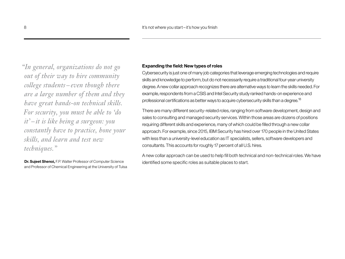*"In general, organizations do not go out of their way to hire community college students – even though there are a large number of them and they have great hands-on technical skills. For security, you must be able to 'do it' – it is like being a surgeon: you constantly have to practice, hone your skills, and learn and test new techniques."* 

**Dr. Sujeet Shenoi,** F.P. Walter Professor of Computer Science and Professor of Chemical Engineering at the University of Tulsa

# **Expanding the field: New types of roles**

Cybersecurity is just one of many job categories that leverage emerging technologies and require skills and knowledge to perform, but do not necessarily require a traditional four-year university degree. A new collar approach recognizes there are alternative ways to learn the skills needed. For example, respondents from a CSIS and Intel Security study ranked hands-on experience and professional certifications as better ways to acquire cybersecurity skills than a degree.<sup>18</sup>

There are many different security-related roles, ranging from software development, design and sales to consulting and managed security services. Within those areas are dozens of positions requiring different skills and experience, many of which could be filled through a new collar approach. For example, since 2015, IBM Security has hired over 170 people in the United States with less than a university-level education as IT specialists, sellers, software developers and consultants. This accounts for roughly 17 percent of all U.S. hires.

A new collar approach can be used to help fill both technical and non-technical roles. We have identified some specific roles as suitable places to start.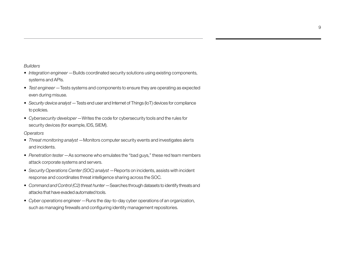#### *Builders*

- *• Integration engineer*—Builds coordinated security solutions using existing components, systems and APIs.
- *• Test engineer*—Tests systems and components to ensure they are operating as expected even during misuse.
- *• Security device analyst*—Tests end user and Internet of Things (IoT) devices for compliance to policies.
- *• Cybersecurity developer*—Writes the code for cybersecurity tools and the rules for security devices (for example, IDS, SIEM).

### *Operators*

- *• Threat monitoring analyst*—Monitors computer security events and investigates alerts and incidents.
- *• Penetration tester*—As someone who emulates the "bad guys," these red team members attack corporate systems and servers.
- *• Security Operations Center (SOC) analyst*—Reports on incidents, assists with incident response and coordinates threat intelligence sharing across the SOC.
- *• Command and Control (C2) threat hunter*—Searches through datasets to identify threats and attacks that have evaded automated tools.
- *• Cyber operations engineer*—Runs the day-to-day cyber operations of an organization, such as managing firewalls and configuring identity management repositories.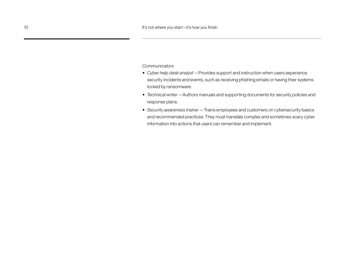*Communicators*

- *• Cyber help desk analyst*—Provides support and instruction when users experience security incidents and events, such as receiving phishing emails or having their systems locked by ransomware.
- *• Technical writer*—Authors manuals and supporting documents for security policies and response plans.
- *• Security awareness trainer*—Trains employees and customers on cybersecurity basics and recommended practices. They must translate complex and sometimes scary cyber information into actions that users can remember and implement.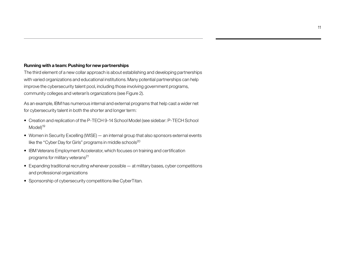# **Running with a team: Pushing for new partnerships**

The third element of a new collar approach is about establishing and developing partnerships with varied organizations and educational institutions. Many potential partnerships can help improve the cybersecurity talent pool, including those involving government programs, community colleges and veteran's organizations (see Figure 2).

As an example, IBM has numerous internal and external programs that help cast a wider net for cybersecurity talent in both the shorter and longer term:

- Creation and replication of the P-TECH 9-14 School Model (see sidebar: P-TECH School Model<sup>19</sup>
- Women in Security Excelling (WISE)— an internal group that also sponsors external events like the "Cyber Day for Girls" programs in middle schools<sup>20</sup>
- IBM Veterans Employment Accelerator, which focuses on training and certification programs for military veterans<sup>21</sup>
- Expanding traditional recruiting whenever possible— at military bases, cyber competitions and professional organizations
- Sponsorship of cybersecurity competitions like CyberTitan.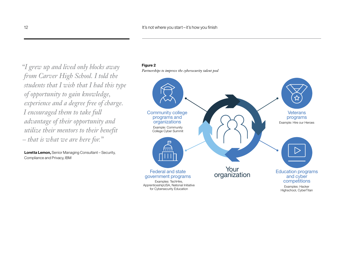*Partnerships to improve the cybersecurity talent pool "I grew up and lived only blocks away from Carver High School. I told the students that I wish that I had this type of opportunity to gain knowledge, experience and a degree free of charge. I encouraged them to take full advantage of their opportunity and utilize their mentors to their benefit – that is what we are here for."*

**Loretta Lemon,** Senior Managing Consultant – Security, Compliance and Privacy, IBM



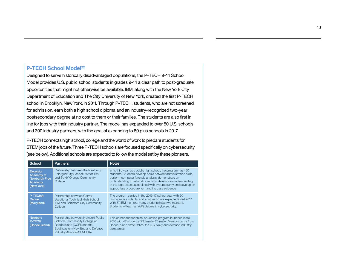# **P-TECH School Model<sup>22</sup>**

Designed to serve historically disadvantaged populations, the P-TECH 9-14 School Model provides U.S. public school students in grades 9-14 a clear path to post-graduate opportunities that might not otherwise be available. IBM, along with the New York City Department of Education and The City University of New York, created the first P-TECH school in Brooklyn, New York, in 2011. Through P-TECH, students, who are not screened for admission, earn both a high school diploma and an industry-recognized two-year postsecondary degree at no cost to them or their families. The students are also first in line for jobs with their industry partner. The model has expanded to over 50 U.S. schools and 300 industry partners, with the goal of expanding to 80 plus schools in 2017.

P-TECH connects high school, college and the world of work to prepare students for STEM jobs of the future. Three P-TECH schools are focused specifically on cybersecurity (see below). Additional schools are expected to follow the model set by these pioneers.

| School                                                                          | <b>Partners</b>                                                                                                                                                       | <b>Notes</b>                                                                                                                                                                                                                                                                                                                                                                     |  |  |  |
|---------------------------------------------------------------------------------|-----------------------------------------------------------------------------------------------------------------------------------------------------------------------|----------------------------------------------------------------------------------------------------------------------------------------------------------------------------------------------------------------------------------------------------------------------------------------------------------------------------------------------------------------------------------|--|--|--|
| <b>Excelsior</b><br>Academy at<br><b>Newburgh Free</b><br>Academy<br>(New York) | Partnership between the Newburgh<br>Enlarged City School District, IBM<br>and SUNY Orange Community<br>College                                                        | In its third year as a public high school, the program has 150<br>students. Students develop basic network administration skills,<br>perform computer forensic analysis, demonstrate an<br>understanding of network forensics, develop an understanding<br>of the legal issues associated with cybersecurity and develop an<br>appropriate procedure for handling case evidence. |  |  |  |
| P-TECH@<br>Carver<br>(Maryland)                                                 | Partnership between Carver<br>Vocational Technical High School.<br><b>IBM and Baltimore City Community</b><br>College                                                 | The program started in the 2016-17 school year with 50<br>ninth-grade students, and another 50 are expected in fall 2017.<br>With 87 IBM mentors, many students have two mentors.<br>Students will earn an AAS degree in cybersecurity.                                                                                                                                          |  |  |  |
| <b>Newport</b><br><b>P-TECH</b><br>(Rhode Island)                               | Partnership between Newport Public<br>Schools, Community College of<br>Rhode Island (CCRI) and the<br>Southeastern New England Defense<br>Industry Alliance (SENEDIA) | This career and technical education program launched in fall<br>2016 with 42 students (22 female, 20 male). Mentors come from<br>Rhode Island State Police, the U.S. Navy and defense industry<br>companies.                                                                                                                                                                     |  |  |  |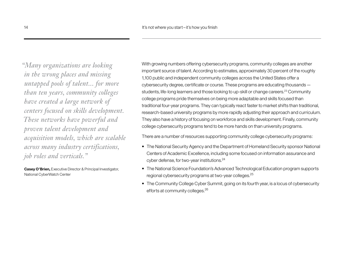*"Many organizations are looking in the wrong places and missing untapped pools of talent... for more than ten years, community colleges have created a large network of centers focused on skills development. These networks have powerful and proven talent development and acquisition models, which are scalable across many industry certifications, job roles and verticals."*

**Casey O'Brien,** Executive Director & Principal Investigator, National CyberWatch Center

With growing numbers offering cybersecurity programs, community colleges are another important source of talent. According to estimates, approximately 30 percent of the roughly 1,100 public and independent community colleges across the United States offer a cybersecurity degree, certificate or course. These programs are educating thousands students, life-long learners and those looking to up-skill or change careers.23 Community college programs pride themselves on being more adaptable and skills focused than traditional four-year programs. They can typically react faster to market shifts than traditional, research-based university programs by more rapidly adjusting their approach and curriculum. They also have a history of focusing on workforce and skills development. Finally, community college cybersecurity programs tend to be more hands on than university programs.

There are a number of resources supporting community college cybersecurity programs:

- The National Security Agency and the Department of Homeland Security sponsor National Centers of Academic Excellence, including some focused on information assurance and cyber defense, for two-year institutions.<sup>24</sup>
- The National Science Foundation's Advanced Technological Education program supports regional cybersecurity programs at two-year colleges.25
- The Community College Cyber Summit, going on its fourth year, is a locus of cybersecurity efforts at community colleges.26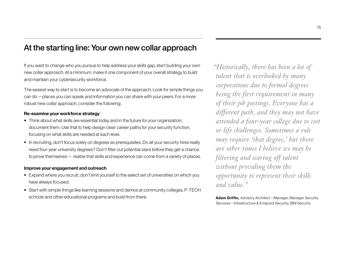# At the starting line: Your own new collar approach

If you want to change who you pursue to help address your skills gap, start building your own new collar approach. At a minimum, make it one component of your overall strategy to build and maintain your cybersecurity workforce.

The easiest way to start is to become an advocate of the approach. Look for simple things you can do—places you can speak and information you can share with your peers. For a more robust new collar approach, consider the following:

### **Re-examine your workforce strategy**

- Think about what skills are essential today and in the future for your organization; document them. Use that to help design clear career paths for your security function, focusing on what skills are needed at each level.
- In recruiting, don't focus solely on degrees as prerequisites. Do all your security hires really need four-year university degrees? Don't filter out potential stars before they get a chance to prove themselves— realize that skills and experience can come from a variety of places.

### **Improve your engagement and outreach**

- Expand where you recruit; don't limit yourself to the select set of universities on which you have always focused.
- Start with simple things like learning sessions and demos at community colleges, P-TECH schools and other educational programs and build from there.

*"Historically, there has been a lot of talent that is overlooked by many corporations due to formal degrees being the first requirement in many of their job postings. Everyone has a different path, and they may not have attended a four-year college due to cost or life challenges. Sometimes a role may require 'that degree,' but there are other times I believe we may be filtering and scaring off talent without providing them the opportunity to represent their skills and value."*

**Adam Griffin,** Advisory Architect – Manager, Manager Security Services – Infrastructure & Endpoint Security, IBM Security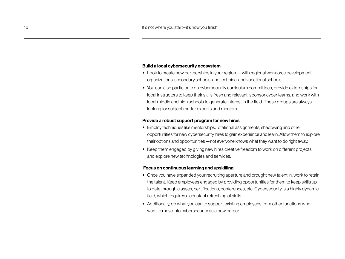### **Build a local cybersecurity ecosystem**

- Look to create new partnerships in your region— with regional workforce development organizations, secondary schools, and technical and vocational schools.
- You can also participate on cybersecurity curriculum committees, provide externships for local instructors to keep their skills fresh and relevant, sponsor cyber teams, and work with local middle and high schools to generate interest in the field. These groups are always looking for subject matter experts and mentors.

#### **Provide a robust support program for new hires**

- Employ techniques like mentorships, rotational assignments, shadowing and other opportunities for new cybersecurity hires to gain experience and learn. Allow them to explore their options and opportunities—not everyone knows what they want to do right away.
- Keep them engaged by giving new hires creative freedom to work on different projects and explore new technologies and services.

#### **Focus on continuous learning and upskilling**

- Once you have expanded your recruiting aperture and brought new talent in, work to retain the talent. Keep employees engaged by providing opportunities for them to keep skills up to date through classes, certifications, conferences, etc. Cybersecurity is a highly dynamic field, which requires a constant refreshing of skills.
- Additionally, do what you can to support existing employees from other functions who want to move into cybersecurity as a new career.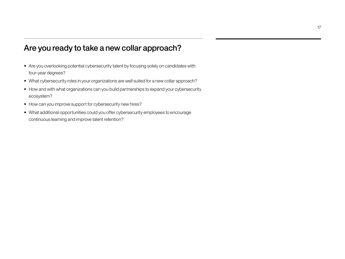# Are you ready to take a new collar approach?

- Are you overlooking potential cybersecurity talent by focusing solely on candidates with four-year degrees?
- What cybersecurity roles in your organizations are well suited for a new collar approach?
- How and with what organizations can you build partnerships to expand your cybersecurity ecosystem?
- How can you improve support for cybersecurity new hires?
- What additional opportunities could you offer cybersecurity employees to encourage continuous learning and improve talent retention?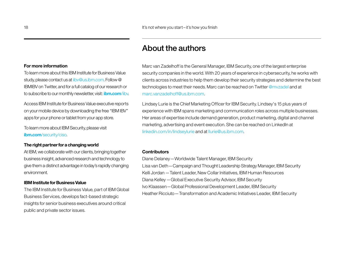# About the authors

Marc van Zadelhoff is the General Manager, IBM Security, one of the largest enterprise security companies in the world. With 20 years of experience in cybersecurity, he works with clients across industries to help them develop their security strategies and determine the best technologies to meet their needs. Marc can be reached on Twitter [@mvzadel](https://twitter.com/mvzadel) and at [marc.vanzadelhoff@us.ibm.com](mailto:marc.vanzadelhoff%40us.ibm.com?subject=).

Lindsey Lurie is the Chief Marketing Officer for IBM Security. Lindsey's 15 plus years of experience with IBM spans marketing and communication roles across multiple businesses. Her areas of expertise include demand generation, product marketing, digital and channel marketing, advertising and event execution. She can be reached on LinkedIn at [linkedin.com/in/lindseylurie](https://www.linkedin.com/in/lindseylurie/) and at [llurie@us.ibm.com](mailto:llurie%40us.ibm.com?subject=).

### **Contributors**

Diane Delaney—Worldwide Talent Manager, IBM Security Lisa van Deth—Campaign and Thought Leadership Strategy Manager, IBM Security Kelli Jordan—Talent Leader, New Collar Initiatives, IBM Human Resources Diana Kelley—Global Executive Security Advisor, IBM Security Ivo Klaassen—Global Professional Development Leader, IBM Security Heather Ricciuto—Transformation and Academic Initiatives Leader, IBM Security

#### **For more information**

To learn more about this IBM Institute for Business Value study, please contact us at iiby@us.jbm.com. Follow @ IBMIBV on Twitter, and for a full catalog of our research or to subscribe to our monthly newsletter, visit: **[ibm.com](http://www.ibm.com/iibv)**/iibv.

Access IBM Institute for Business Value executive reports on your mobile device by downloading the free "IBM IBV" apps for your phone or tablet from your app store.

To learn more about IBM Security, please visit **ibm.com**[/security/ciso.](http://ibm.com/security/ciso)

### **The right partner for a changing world**

At IBM, we collaborate with our clients, bringing together business insight, advanced research and technology to give them a distinct advantage in today's rapidly changing environment.

#### **IBM Institute for Business Value**

The IBM Institute for Business Value, part of IBM Global Business Services, develops fact-based strategic insights for senior business executives around critical public and private sector issues.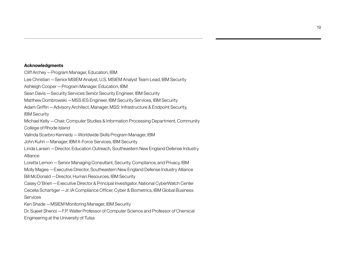### **Acknowledgments**

Cliff Archey—Program Manager, Education, IBM Lee Christian—Senior MSIEM Analyst, U.S. MSIEM Analyst Team Lead, IBM Security Ashleigh Cooper—Program Manager, Education, IBM Sean Davis—Security Services Senior Security Engineer, IBM Security Matthew Dombrowski—MSS IES Engineer, IBM Security Services, IBM Security Adam Griffin—Advisory Architect, Manager, MSS: Infrastructure & Endpoint Security, IBM Security Michael Kelly—Chair, Computer Studies & Information Processing Department, Community College of Rhode Island Valinda Scarbro Kennedy—Worldwide Skills Program Manager, IBM John Kuhn—Manager, IBM X-Force Services, IBM Security Linda Larsen—Director, Education Outreach, Southeastern New England Defense Industry Alliance Loretta Lemon—Senior Managing Consultant, Security, Compliance, and Privacy, IBM Molly Magee—Executive Director, Southeastern New England Defense Industry Alliance Bill McDonald—Director, Human Resources, IBM Security Casey O'Brien—Executive Director & Principal Investigator, National CyberWatch Center Cecelia Schartiger—Jr. IA Compliance Officer, Cyber & Biometrics, IBM Global Business **Services** Ken Shade—MSIEM Monitoring Manager, IBM Security Dr. Sujeet Shenoi—F.P. Walter Professor of Computer Science and Professor of Chemical Engineering at the University of Tulsa

19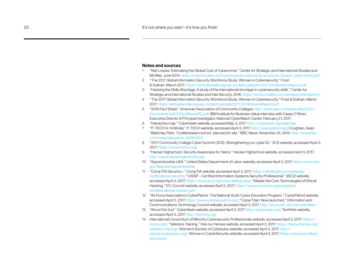#### **Notes and sources**

- 1 "Net Losses: Estimating the Global Cost of Cybercrime." Center for Strategic and International Studies and McAfee. June 2014.<https://www.mcafee.com/us/resources/reports/rp-economic-impact-cybercrime2.pdf>
- 2 "The 2017 Global Information Security Workforce Study: Women in Cybersecurity." Frost & Sullivan. March 2017.<https://iamcybersafe.org/wp-content/uploads/2017/03/WomensReport.pdf>
- 3 "Hacking the Skills Shortage: A study of the international shortage in cybersecurity skills." Center for Strategic and International Studies and Intel Security. 2016. https://www.mcafee.com/ca/resources/reports/
- 4 "The 2017 Global Information Security Workforce Study: Women in Cybersecurity." Frost & Sullivan. March 2017.<https://iamcybersafe.org/wp-content/uploads/2017/03/WomensReport.pdf>
- 5 "2016 Fact Sheet." American Association of Community Colleges. [http://www.aacc.nche.edu/AboutCC/](http://www.aacc.nche.edu/AboutCC/Documents/AACCFactSheetsR2.pdf) [Documents/AACCFactSheetsR2.pdf;](http://www.aacc.nche.edu/AboutCC/Documents/AACCFactSheetsR2.pdf) IBM Institute for Business Value interview with Casey O'Brien, Executive Director & Principal Investigator, National CyberWatch Center. February 21, 2017.
- 6 "Interactive map." CyberSeek website, accessed May 3, 2017.<http://cyberseek.org/heatmap>
- 7 "P-TECH 9-14 Model." P-TECH website, accessed April 3, 2017.<http://www.ptech.org/>; Coughlan, Sean. "Bletchley Park: 'Codebreakers school' planned for site." BBC News. November 24, 2016. [http://www.bbc.](http://www.bbc.com/news/education-38065563) [com/news/education-38065563](http://www.bbc.com/news/education-38065563)
- 8 "2017 Community College Cyber Summit (3CS): Strengthening our cyber IQ." 3CS website, accessed April 3, 2017.<https://www.my3cs.org/>
- 9 "Hacker Highschool: Security Awareness for Teens." Hacker Highschool website, accessed April 3, 2017. <http://www.hackerhighschool.org/>
- 10 "Apprenticeship USA." United States Department of Labor website, accessed April 3, 2017. [https://www.dol.](https://www.dol.gov/featured/apprenticeship) [gov/featured/apprenticeship](https://www.dol.gov/featured/apprenticeship)
- 11 "CompTIA Security+." CompTIA website, accessed April 3, 2017. [https://certification.comptia.org/](https://certification.comptia.org/certifications/security) [certifications/security](https://certification.comptia.org/certifications/security); "CISSP – Certified Information Systems Security Professional." (ISC)2 website, accessed April 3, 2017. [https://www.isc2.org/cissp/default.aspx;](https://www.isc2.org/cissp/default.aspx) "Master the Core Technologies of Ethical Hacking." EC-Council website, accessed April 3, 2017. [https://www.eccouncil.org/programs/](https://www.eccouncil.org/programs/certified-ethical-hacker-ceh/) [certified-ethical-hacker-ceh/](https://www.eccouncil.org/programs/certified-ethical-hacker-ceh/)
- 12 "Air Force Association's CyberPatriot: The National Youth Cyber Education Program." CyberPatriot website, accessed April 3, 2017. [https://www.uscyberpatriot.org/;](https://www.uscyberpatriot.org/) "CyberTitan: Now launched." Information and Communications Technology Council website, accessed April 3, 2017.<http://www.ictc-ctic.ca/cybertitan/>
- 13 "About this tool." CyberSeek website, accessed April 3, 2017. [http://cyberseek.org/;](http://cyberseek.org/) TechHire website, accessed April 3, 2017.<http://techhire.org/>
- 14 International Consortium of Minority Cybersecurity Professionals website, accessed April 3, 2017. [https://](https://icmcp.org/) [icmcp.org/](https://icmcp.org/); "Veterans Training." Hire our Heroes website, accessed April 3, 2017. [https://hireourheroes.org/](https://hireourheroes.org/veterans-training/) [veterans-training/;](https://hireourheroes.org/veterans-training/) Women's Society of Cyberjutsu website, accessed April 3, 2017. [http://](http://womenscyberjutsu.org/) [womenscyberjutsu.org/](http://womenscyberjutsu.org/); Women in CyberSecurity website, accessed April 3, 2017. [https://www.csc.tntech.](https://www.csc.tntech.edu/wicys/) [edu/wicys/](https://www.csc.tntech.edu/wicys/)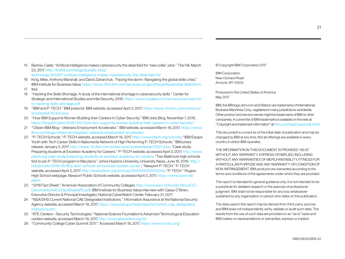15 Barlow, Caleb. "Artificial intelligence makes cybersecurity the ideal field for 'new collar' jobs." The Hill. March 22, 2017. [http://thehill.com/blogs/pundits-blog/](http://thehill.com/blogs/pundits-blog/technology/325067-artificial-intelligence-makes-cybersecurity-the-ideal-field-for#bottom-story-socials)

[technology/325067-artificial-intelligence-makes-cybersecurity-the-ideal-field-for](http://thehill.com/blogs/pundits-blog/technology/325067-artificial-intelligence-makes-cybersecurity-the-ideal-field-for#bottom-story-socials)

- 16 King, Mike; Anthony Marshall; and David Zaharchuk. "Facing the storm: Navigating the global skills crisis." IBM Institute for Business Value. [https://www-935.ibm.com/services/us/gbs/thoughtleadership/skillsstorm](https://www-935.ibm.com/services/us/gbs/thoughtleadership/skillsstorm/)
- 17 Ibid.
- 18 "Hacking the Skills Shortage: A study of the international shortage in cybersecurity skills." Center for Strategic and International Studies and Intel Security. 2016. [https://www.mcafee.com/ca/resources/reports/](https://www.mcafee.com/ca/resources/reports/rp-hacking-skills-shortage.pdf) [rp-hacking-skills-shortage.pdf](https://www.mcafee.com/ca/resources/reports/rp-hacking-skills-shortage.pdf)
- 19 "IBM and P-TECH." IBM press kit. IBM website, accessed April 3, 2017. [https://www-03.ibm.com/press/us/](https://www-03.ibm.com/press/us/en/presskit/42300.wss) [en/presskit/42300.wss](https://www-03.ibm.com/press/us/en/presskit/42300.wss)
- 20 "How IBM Supports Women Building their Careers in Cyber Security." IBM Jobs Blog. November 7, 2016. <https://blog.ibm.jobs/2016/11/07/how-ibm-supports-women-building-their-careers-in-cyber-security/>
- 21 "Citizen IBM Blog Veterans Employment Accelerator." IBM website, accessed March 19, 2017. [https://www.](https://www.ibm.com/blogs/citizen-ibm/tag/ibm-veterans-employment-accelerator) [ibm.com/blogs/citizen-ibm/tag/ibm-veterans-employment-accelerator](https://www.ibm.com/blogs/citizen-ibm/tag/ibm-veterans-employment-accelerator)
- 22 "P-TECH Schools." P-TECH website, accessed March 19, 2017. [http://www.ptech.org/schools;](http://www.ptech.org/schools) "IBM Equips Youth with Tech Career Skills in Nationwide Network of High Performing P-TECH Schools." IBM press release. January 5, 2017.<http://www-03.ibm.com/press/us/en/pressrelease/51327.wss>; "Case study: Preparing students at Excelsior Academy for Careers." P-TECH website, accessed April 3, 2017. [http://www.](http://www.ptech.org/case-study/preparing-students-at-excelsior-academy-for-careers) [ptech.org/case-study/preparing-students-at-excelsior-academy-for-careers](http://www.ptech.org/case-study/preparing-students-at-excelsior-academy-for-careers); "Two Baltimore high schools first to join P-TECH program in Maryland." Johns Hopkins University, University News. June 16, 2016. [http://](http://hub.jhu.edu/2016/06/16/p-tech-schools-announced-dunbar-carver/) [hub.jhu.edu/2016/06/16/p-tech-schools-announced-dunbar-carver/;](http://hub.jhu.edu/2016/06/16/p-tech-schools-announced-dunbar-carver/) "Newport P-TECH." P-TECH website, accessed April 3, 2017. [http://www.ptech.org/schools/000000000000049;](http://www.ptech.org/schools/000000000000049) "P-TECH." Rogers High School webpage. Newport Public Schools website, accessed April 3, 2017. [https://www.npsri.net/](https://www.npsri.net/ptech) [ptech](https://www.npsri.net/ptech)
- 23 "2016 Fact Sheet." American Association of Community Colleges. [http://www.aacc.nche.edu/AboutCC/](http://www.aacc.nche.edu/AboutCC/Documents/AACCFactSheetsR2.pdf) [Documents/AACCFactSheetsR2.pdf;](http://www.aacc.nche.edu/AboutCC/Documents/AACCFactSheetsR2.pdf) IBM Institute for Business Value interview with Casey O'Brien, Executive Director & Principal Investigator, National CyberWatch Center. February 21, 2017.
- 24 "NSA/DHS Current National CAE Designated Institutions." Information Assurance at the National Security Agency website, accessed March 19, 2017. [https://www.iad.gov/nietp/reports/current\\_cae\\_designated\\_](https://www.iad.gov/nietp/reports/current_cae_designated_institutions.cfm) [institutions.cfm](https://www.iad.gov/nietp/reports/current_cae_designated_institutions.cfm)
- 25 "ATE Centers Security Technologies." National Science Foundation's Advanced Technological Education centers website, accessed March 19, 2017.<http://www.atecenters.org/st/>
- 26 "Community College Cyber Summit 2017." Accessed March 19, 2017. <https://www.my3cs.org/>

© Copyright IBM Corporation 2017

IBM Corporation New Orchard Road Armonk, NY 10504

Produced in the United States of America May 2017

IBM, the IBM logo, <ibm.com>and Watson are trademarks of International Business Machines Corp., registered in many jurisdictions worldwide. Other product and service names might be trademarks of IBM or other companies. A current list of IBM trademarks is available on the web at "Copyright and trademark information" at:<ibm.com/legal/copytrade.shtml>.

This document is current as of the initial date of publication and may be changed by IBM at any time. Not all offerings are available in every country in which IBM operates.

THE INFORMATION IN THIS DOCUMENT IS PROVIDED "AS IS" WITHOUT ANY WARRANTY EXPRESS OR IMPLIED, INCLUDING WITHOUT ANY WARRANTIES OF MERCHANTABILITY, FITNESS FOR A PARTICULAR PURPOSE AND ANY WARRANTY OR CONDITION OF NON-INFRINGEMENT. IBM products are warranted according to the terms and conditions of the agreements under which they are provided.

This report is intended for general guidance only. It is not intended to be a substitute for detailed research or the exercise of professional judgment. IBM shall not be responsible for any loss whatsoever sustained by any organization or person who relies on this publication.

The data used in this report may be derived from third-party sources and IBM does not independently verify, validate or audit such data. The results from the use of such data are provided on an "as is" basis and IBM makes no representations or warranties, express or implied.